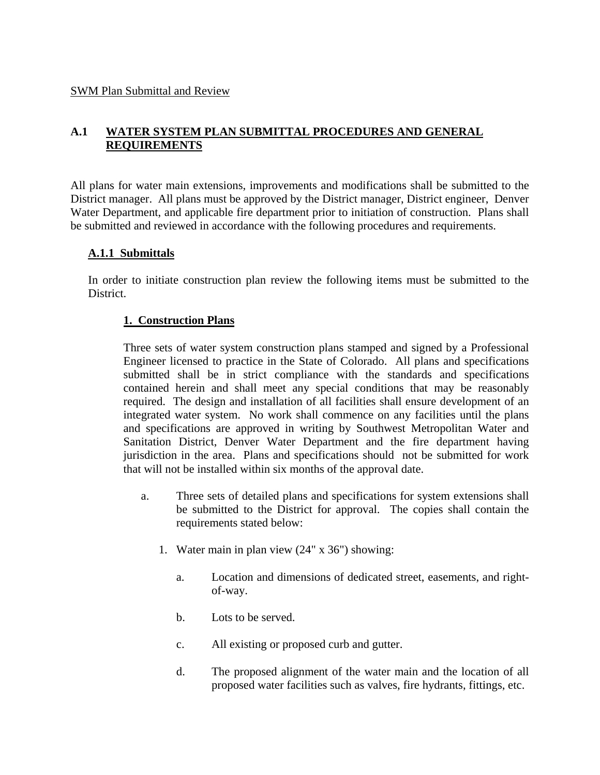#### SWM Plan Submittal and Review

# **A.1 WATER SYSTEM PLAN SUBMITTAL PROCEDURES AND GENERAL REQUIREMENTS**

All plans for water main extensions, improvements and modifications shall be submitted to the District manager. All plans must be approved by the District manager, District engineer, Denver Water Department, and applicable fire department prior to initiation of construction. Plans shall be submitted and reviewed in accordance with the following procedures and requirements.

### **A.1.1 Submittals**

In order to initiate construction plan review the following items must be submitted to the District.

### **1. Construction Plans**

Three sets of water system construction plans stamped and signed by a Professional Engineer licensed to practice in the State of Colorado. All plans and specifications submitted shall be in strict compliance with the standards and specifications contained herein and shall meet any special conditions that may be reasonably required. The design and installation of all facilities shall ensure development of an integrated water system. No work shall commence on any facilities until the plans and specifications are approved in writing by Southwest Metropolitan Water and Sanitation District, Denver Water Department and the fire department having jurisdiction in the area. Plans and specifications should not be submitted for work that will not be installed within six months of the approval date.

- a. Three sets of detailed plans and specifications for system extensions shall be submitted to the District for approval. The copies shall contain the requirements stated below:
	- 1. Water main in plan view (24" x 36") showing:
		- a. Location and dimensions of dedicated street, easements, and rightof-way.
		- b. Lots to be served.
		- c. All existing or proposed curb and gutter.
		- d. The proposed alignment of the water main and the location of all proposed water facilities such as valves, fire hydrants, fittings, etc.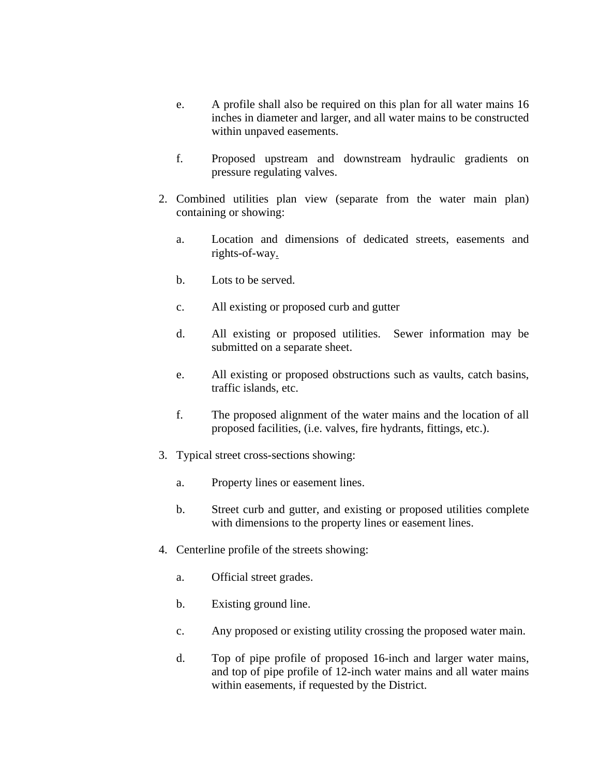- e. A profile shall also be required on this plan for all water mains 16 inches in diameter and larger, and all water mains to be constructed within unpaved easements.
- f. Proposed upstream and downstream hydraulic gradients on pressure regulating valves.
- 2. Combined utilities plan view (separate from the water main plan) containing or showing:
	- a. Location and dimensions of dedicated streets, easements and rights-of-way.
	- b. Lots to be served.
	- c. All existing or proposed curb and gutter
	- d. All existing or proposed utilities. Sewer information may be submitted on a separate sheet.
	- e. All existing or proposed obstructions such as vaults, catch basins, traffic islands, etc.
	- f. The proposed alignment of the water mains and the location of all proposed facilities, (i.e. valves, fire hydrants, fittings, etc.).
- 3. Typical street cross-sections showing:
	- a. Property lines or easement lines.
	- b. Street curb and gutter, and existing or proposed utilities complete with dimensions to the property lines or easement lines.
- 4. Centerline profile of the streets showing:
	- a. Official street grades.
	- b. Existing ground line.
	- c. Any proposed or existing utility crossing the proposed water main.
	- d. Top of pipe profile of proposed 16-inch and larger water mains, and top of pipe profile of 12-inch water mains and all water mains within easements, if requested by the District.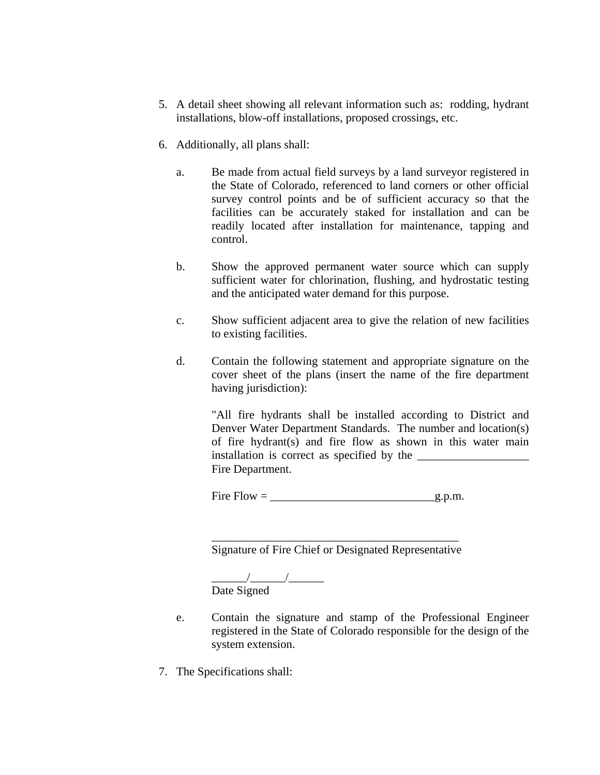- 5. A detail sheet showing all relevant information such as: rodding, hydrant installations, blow-off installations, proposed crossings, etc.
- 6. Additionally, all plans shall:
	- a. Be made from actual field surveys by a land surveyor registered in the State of Colorado, referenced to land corners or other official survey control points and be of sufficient accuracy so that the facilities can be accurately staked for installation and can be readily located after installation for maintenance, tapping and control.
	- b. Show the approved permanent water source which can supply sufficient water for chlorination, flushing, and hydrostatic testing and the anticipated water demand for this purpose.
	- c. Show sufficient adjacent area to give the relation of new facilities to existing facilities.
	- d. Contain the following statement and appropriate signature on the cover sheet of the plans (insert the name of the fire department having jurisdiction):

"All fire hydrants shall be installed according to District and Denver Water Department Standards. The number and location(s) of fire hydrant(s) and fire flow as shown in this water main installation is correct as specified by the \_\_\_\_\_\_\_\_\_\_\_\_\_\_\_\_\_\_\_ Fire Department.

Fire  $Flow = \_$ 

\_\_\_\_\_\_\_\_\_\_\_\_\_\_\_\_\_\_\_\_\_\_\_\_\_\_\_\_\_\_\_\_\_\_\_\_\_\_\_\_\_\_ Signature of Fire Chief or Designated Representative

\_\_\_\_\_\_/\_\_\_\_\_\_/\_\_\_\_\_\_ Date Signed

- e. Contain the signature and stamp of the Professional Engineer registered in the State of Colorado responsible for the design of the system extension.
- 7. The Specifications shall: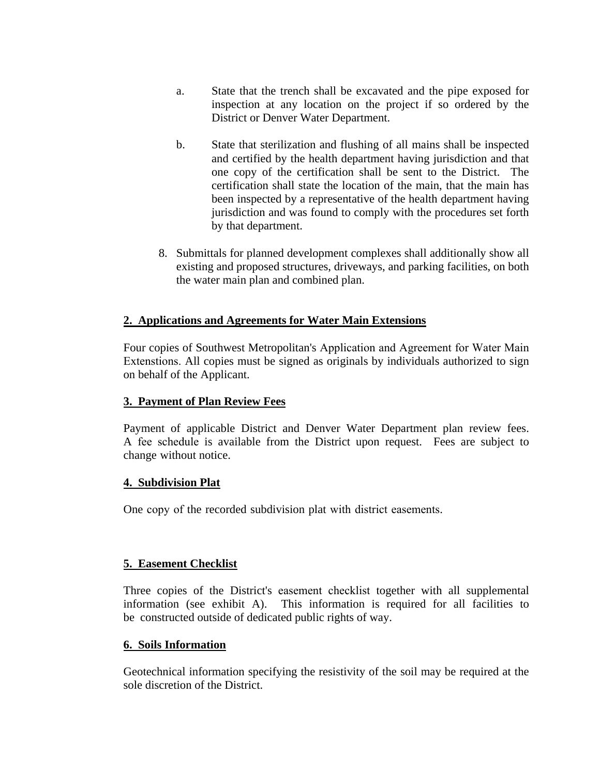- a. State that the trench shall be excavated and the pipe exposed for inspection at any location on the project if so ordered by the District or Denver Water Department.
- b. State that sterilization and flushing of all mains shall be inspected and certified by the health department having jurisdiction and that one copy of the certification shall be sent to the District. The certification shall state the location of the main, that the main has been inspected by a representative of the health department having jurisdiction and was found to comply with the procedures set forth by that department.
- 8. Submittals for planned development complexes shall additionally show all existing and proposed structures, driveways, and parking facilities, on both the water main plan and combined plan.

## **2. Applications and Agreements for Water Main Extensions**

Four copies of Southwest Metropolitan's [Application and Agreement for Water Main](https://swmetrowater.org/documents/applications-and-agreements-for-water-main-extensions/)  [Extenstions.](https://swmetrowater.org/documents/applications-and-agreements-for-water-main-extensions/) All copies must be signed as originals by individuals authorized to sign on behalf of the Applicant.

## **3. Payment of Plan Review Fees**

Payment of applicable District and Denver Water Department plan review fees. A [fee schedul](https://swmetrowater.org/documents/district-fee-schedule/)e is available from the District upon request. Fees are subject to change without notice.

#### **4. Subdivision Plat**

One copy of the recorded subdivision plat with district easements.

## **5. Easement Checklist**

Three copies of the District's [easement checklist](https://swmetrowater.org/wp-content/uploads/2018/10/SWM_Easement_Checklist.pdf) together with all supplemental information (see exhibit A). This information is required for all facilities to be constructed outside of dedicated public rights of way.

#### **6. Soils Information**

Geotechnical information specifying the resistivity of the soil may be required at the sole discretion of the District.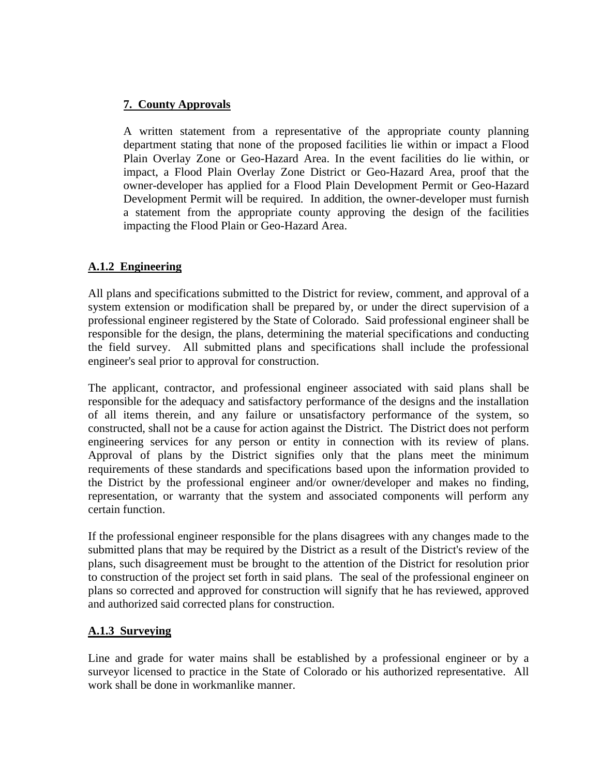# **7. County Approvals**

A written statement from a representative of the appropriate county planning department stating that none of the proposed facilities lie within or impact a Flood Plain Overlay Zone or Geo-Hazard Area. In the event facilities do lie within, or impact, a Flood Plain Overlay Zone District or Geo-Hazard Area, proof that the owner-developer has applied for a Flood Plain Development Permit or Geo-Hazard Development Permit will be required. In addition, the owner-developer must furnish a statement from the appropriate county approving the design of the facilities impacting the Flood Plain or Geo-Hazard Area.

## **A.1.2 Engineering**

All plans and specifications submitted to the District for review, comment, and approval of a system extension or modification shall be prepared by, or under the direct supervision of a professional engineer registered by the State of Colorado. Said professional engineer shall be responsible for the design, the plans, determining the material specifications and conducting the field survey. All submitted plans and specifications shall include the professional engineer's seal prior to approval for construction.

The applicant, contractor, and professional engineer associated with said plans shall be responsible for the adequacy and satisfactory performance of the designs and the installation of all items therein, and any failure or unsatisfactory performance of the system, so constructed, shall not be a cause for action against the District. The District does not perform engineering services for any person or entity in connection with its review of plans. Approval of plans by the District signifies only that the plans meet the minimum requirements of these standards and specifications based upon the information provided to the District by the professional engineer and/or owner/developer and makes no finding, representation, or warranty that the system and associated components will perform any certain function.

If the professional engineer responsible for the plans disagrees with any changes made to the submitted plans that may be required by the District as a result of the District's review of the plans, such disagreement must be brought to the attention of the District for resolution prior to construction of the project set forth in said plans. The seal of the professional engineer on plans so corrected and approved for construction will signify that he has reviewed, approved and authorized said corrected plans for construction.

## **A.1.3 Surveying**

Line and grade for water mains shall be established by a professional engineer or by a surveyor licensed to practice in the State of Colorado or his authorized representative. All work shall be done in workmanlike manner.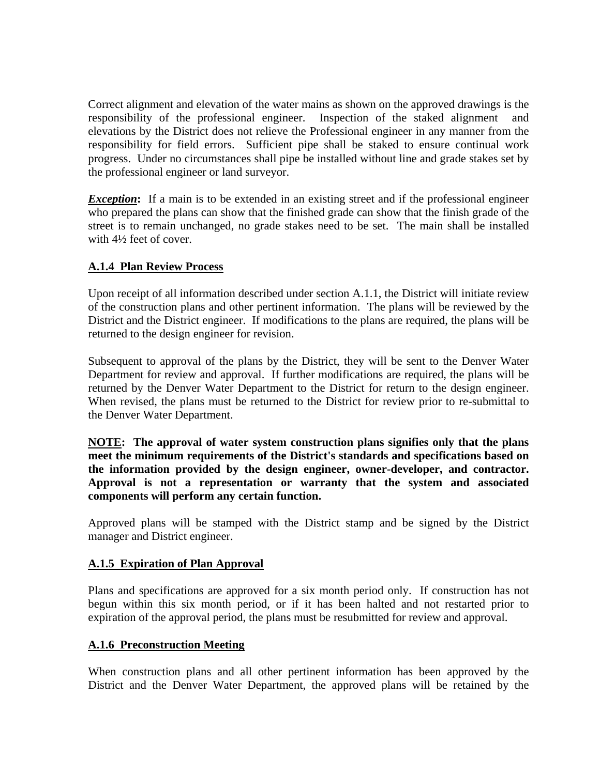Correct alignment and elevation of the water mains as shown on the approved drawings is the responsibility of the professional engineer. Inspection of the staked alignment and elevations by the District does not relieve the Professional engineer in any manner from the responsibility for field errors. Sufficient pipe shall be staked to ensure continual work progress. Under no circumstances shall pipe be installed without line and grade stakes set by the professional engineer or land surveyor.

**Exception:** If a main is to be extended in an existing street and if the professional engineer who prepared the plans can show that the finished grade can show that the finish grade of the street is to remain unchanged, no grade stakes need to be set. The main shall be installed with 4½ feet of cover.

# **A.1.4 Plan Review Process**

Upon receipt of all information described under section A.1.1, the District will initiate review of the construction plans and other pertinent information. The plans will be reviewed by the District and the District engineer. If modifications to the plans are required, the plans will be returned to the design engineer for revision.

Subsequent to approval of the plans by the District, they will be sent to the Denver Water Department for review and approval. If further modifications are required, the plans will be returned by the Denver Water Department to the District for return to the design engineer. When revised, the plans must be returned to the District for review prior to re-submittal to the Denver Water Department.

**NOTE: The approval of water system construction plans signifies only that the plans meet the minimum requirements of the District's standards and specifications based on the information provided by the design engineer, owner-developer, and contractor. Approval is not a representation or warranty that the system and associated components will perform any certain function.** 

Approved plans will be stamped with the District stamp and be signed by the District manager and District engineer.

## **A.1.5 Expiration of Plan Approval**

Plans and specifications are approved for a six month period only. If construction has not begun within this six month period, or if it has been halted and not restarted prior to expiration of the approval period, the plans must be resubmitted for review and approval.

## **A.1.6 Preconstruction Meeting**

When construction plans and all other pertinent information has been approved by the District and the Denver Water Department, the approved plans will be retained by the